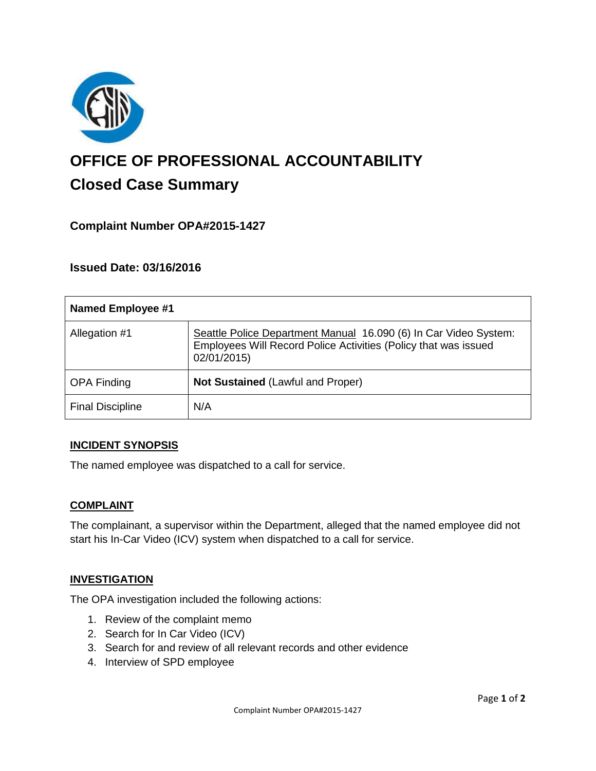

# **OFFICE OF PROFESSIONAL ACCOUNTABILITY Closed Case Summary**

# **Complaint Number OPA#2015-1427**

## **Issued Date: 03/16/2016**

| <b>Named Employee #1</b> |                                                                                                                                                    |
|--------------------------|----------------------------------------------------------------------------------------------------------------------------------------------------|
| Allegation #1            | Seattle Police Department Manual 16.090 (6) In Car Video System:<br>Employees Will Record Police Activities (Policy that was issued<br>02/01/2015) |
| <b>OPA Finding</b>       | Not Sustained (Lawful and Proper)                                                                                                                  |
| <b>Final Discipline</b>  | N/A                                                                                                                                                |

#### **INCIDENT SYNOPSIS**

The named employee was dispatched to a call for service.

#### **COMPLAINT**

The complainant, a supervisor within the Department, alleged that the named employee did not start his In-Car Video (ICV) system when dispatched to a call for service.

#### **INVESTIGATION**

The OPA investigation included the following actions:

- 1. Review of the complaint memo
- 2. Search for In Car Video (ICV)
- 3. Search for and review of all relevant records and other evidence
- 4. Interview of SPD employee